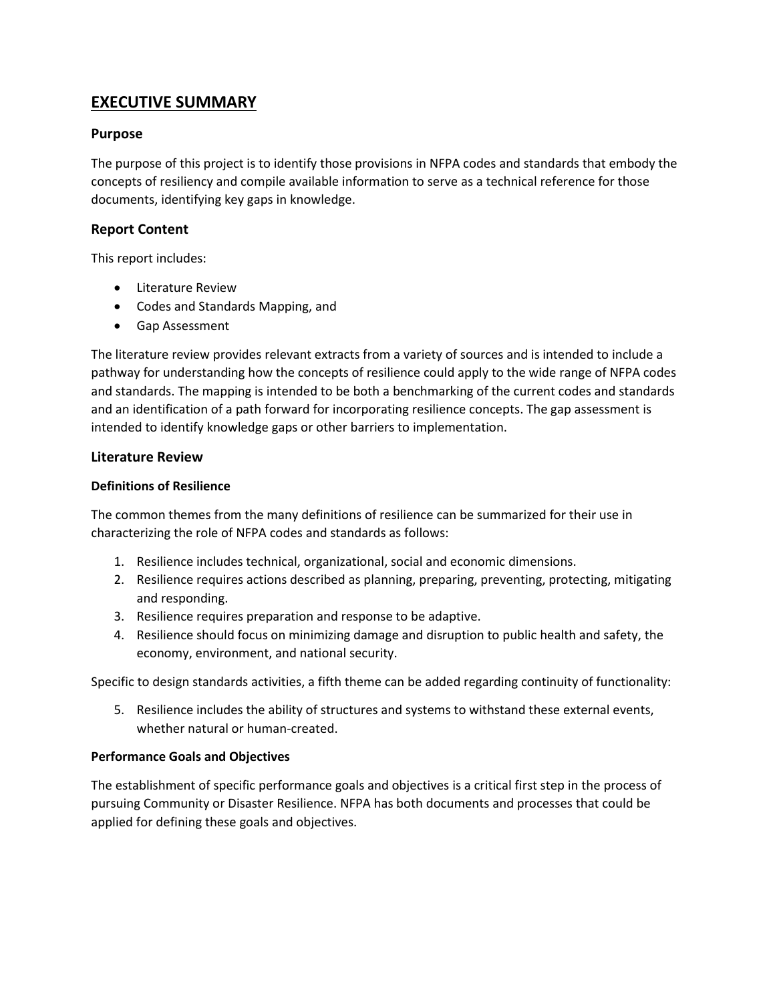# **EXECUTIVE SUMMARY**

# **Purpose**

The purpose of this project is to identify those provisions in NFPA codes and standards that embody the concepts of resiliency and compile available information to serve as a technical reference for those documents, identifying key gaps in knowledge.

# **Report Content**

This report includes:

- Literature Review
- Codes and Standards Mapping, and
- Gap Assessment

The literature review provides relevant extracts from a variety of sources and is intended to include a pathway for understanding how the concepts of resilience could apply to the wide range of NFPA codes and standards. The mapping is intended to be both a benchmarking of the current codes and standards and an identification of a path forward for incorporating resilience concepts. The gap assessment is intended to identify knowledge gaps or other barriers to implementation.

# **Literature Review**

# **Definitions of Resilience**

The common themes from the many definitions of resilience can be summarized for their use in characterizing the role of NFPA codes and standards as follows:

- 1. Resilience includes technical, organizational, social and economic dimensions.
- 2. Resilience requires actions described as planning, preparing, preventing, protecting, mitigating and responding.
- 3. Resilience requires preparation and response to be adaptive.
- 4. Resilience should focus on minimizing damage and disruption to public health and safety, the economy, environment, and national security.

Specific to design standards activities, a fifth theme can be added regarding continuity of functionality:

5. Resilience includes the ability of structures and systems to withstand these external events, whether natural or human-created.

### **Performance Goals and Objectives**

The establishment of specific performance goals and objectives is a critical first step in the process of pursuing Community or Disaster Resilience. NFPA has both documents and processes that could be applied for defining these goals and objectives.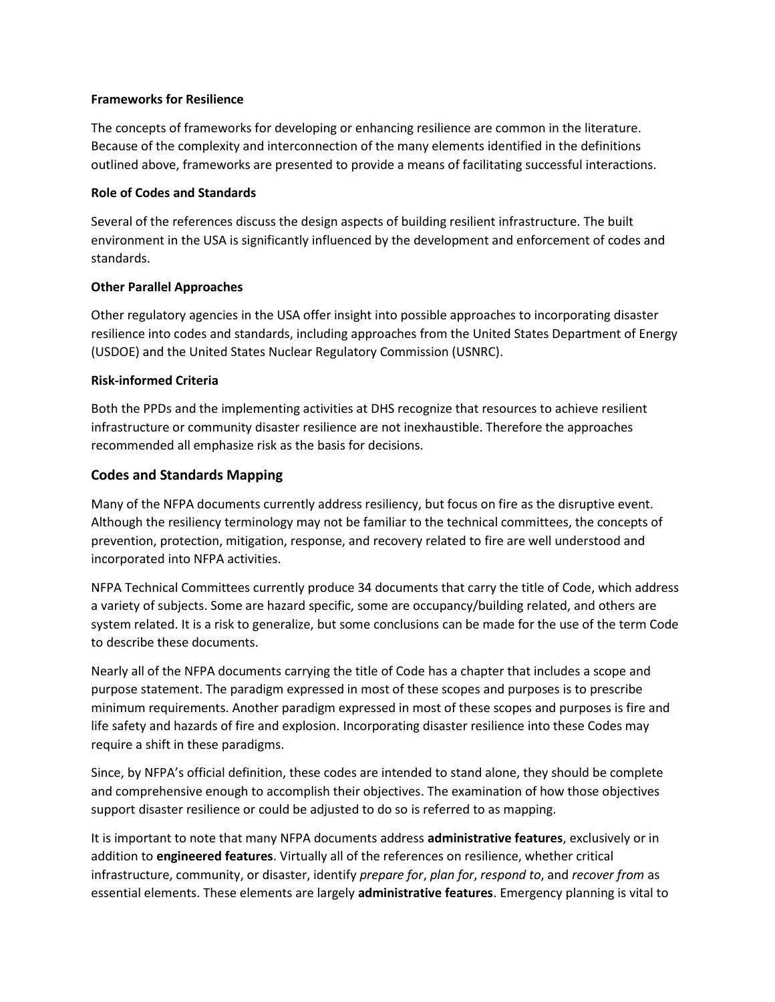#### **Frameworks for Resilience**

The concepts of frameworks for developing or enhancing resilience are common in the literature. Because of the complexity and interconnection of the many elements identified in the definitions outlined above, frameworks are presented to provide a means of facilitating successful interactions.

#### **Role of Codes and Standards**

Several of the references discuss the design aspects of building resilient infrastructure. The built environment in the USA is significantly influenced by the development and enforcement of codes and standards.

### **Other Parallel Approaches**

Other regulatory agencies in the USA offer insight into possible approaches to incorporating disaster resilience into codes and standards, including approaches from the United States Department of Energy (USDOE) and the United States Nuclear Regulatory Commission (USNRC).

#### **Risk-informed Criteria**

Both the PPDs and the implementing activities at DHS recognize that resources to achieve resilient infrastructure or community disaster resilience are not inexhaustible. Therefore the approaches recommended all emphasize risk as the basis for decisions.

# **Codes and Standards Mapping**

Many of the NFPA documents currently address resiliency, but focus on fire as the disruptive event. Although the resiliency terminology may not be familiar to the technical committees, the concepts of prevention, protection, mitigation, response, and recovery related to fire are well understood and incorporated into NFPA activities.

NFPA Technical Committees currently produce 34 documents that carry the title of Code, which address a variety of subjects. Some are hazard specific, some are occupancy/building related, and others are system related. It is a risk to generalize, but some conclusions can be made for the use of the term Code to describe these documents.

Nearly all of the NFPA documents carrying the title of Code has a chapter that includes a scope and purpose statement. The paradigm expressed in most of these scopes and purposes is to prescribe minimum requirements. Another paradigm expressed in most of these scopes and purposes is fire and life safety and hazards of fire and explosion. Incorporating disaster resilience into these Codes may require a shift in these paradigms.

Since, by NFPA's official definition, these codes are intended to stand alone, they should be complete and comprehensive enough to accomplish their objectives. The examination of how those objectives support disaster resilience or could be adjusted to do so is referred to as mapping.

It is important to note that many NFPA documents address **administrative features**, exclusively or in addition to **engineered features**. Virtually all of the references on resilience, whether critical infrastructure, community, or disaster, identify *prepare for*, *plan for*, *respond to*, and *recover from* as essential elements. These elements are largely **administrative features**. Emergency planning is vital to